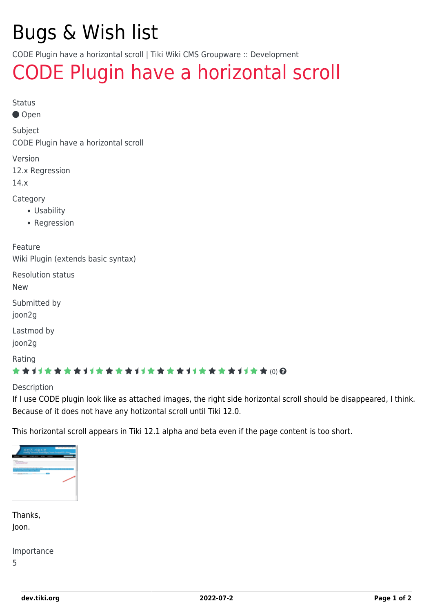# Bugs & Wish list

CODE Plugin have a horizontal scroll | Tiki Wiki CMS Groupware :: Development

## [CODE Plugin have a horizontal scroll](https://dev.tiki.org/item5208-CODE-Plugin-have-a-horizontal-scroll)

Status

● Open

Subject CODE Plugin have a horizontal scroll

Version

12.x Regression

14.x

Category

- Usability
- Regression

Feature Wiki Plugin (extends basic syntax)

Resolution status

New

Submitted by joon2g

Lastmod by

joon2g

Rating

#### \*\*\*\*\*\*\*\*\*\*\*\*\*\*\*\*\*\*\*\*\*\*\*\*\*\*\*\*\*\*

Description

If I use CODE plugin look like as attached images, the right side horizontal scroll should be disappeared, I think. Because of it does not have any hotizontal scroll until Tiki 12.0.

This horizontal scroll appears in Tiki 12.1 alpha and beta even if the page content is too short.



| Thanks, |  |
|---------|--|
| Joon.   |  |

Importance